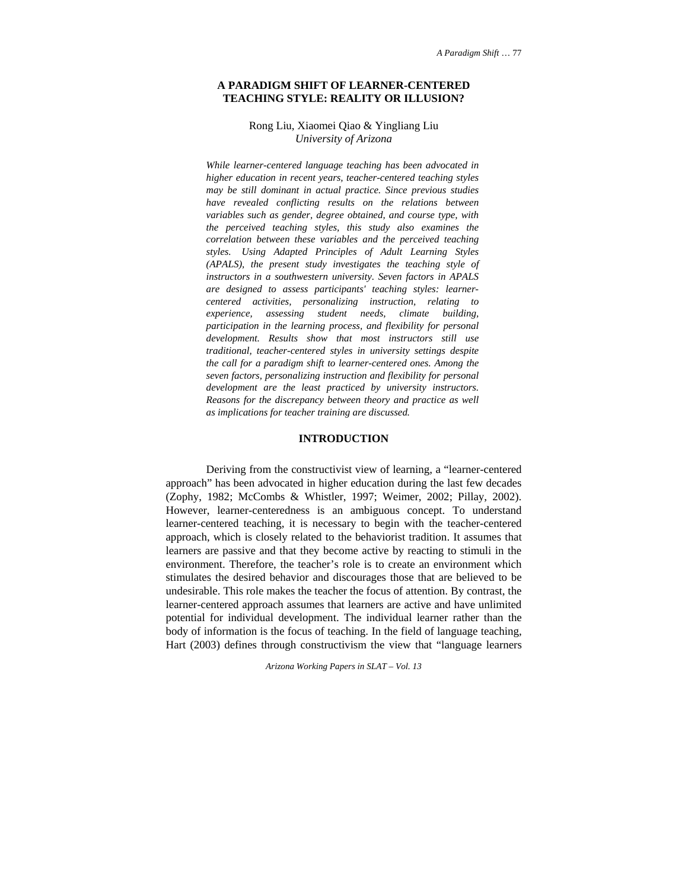#### **A PARADIGM SHIFT OF LEARNER-CENTERED TEACHING STYLE: REALITY OR ILLUSION?**

## Rong Liu, Xiaomei Qiao & Yingliang Liu *University of Arizona*

*While learner-centered language teaching has been advocated in higher education in recent years, teacher-centered teaching styles may be still dominant in actual practice. Since previous studies have revealed conflicting results on the relations between variables such as gender, degree obtained, and course type, with the perceived teaching styles, this study also examines the correlation between these variables and the perceived teaching styles. Using Adapted Principles of Adult Learning Styles (APALS), the present study investigates the teaching style of instructors in a southwestern university. Seven factors in APALS are designed to assess participants' teaching styles: learnercentered activities, personalizing instruction, relating to experience, assessing student needs, climate building, participation in the learning process, and flexibility for personal development. Results show that most instructors still use traditional, teacher-centered styles in university settings despite the call for a paradigm shift to learner-centered ones. Among the seven factors, personalizing instruction and flexibility for personal development are the least practiced by university instructors. Reasons for the discrepancy between theory and practice as well as implications for teacher training are discussed.* 

#### **INTRODUCTION**

Deriving from the constructivist view of learning, a "learner-centered approach" has been advocated in higher education during the last few decades (Zophy, 1982; McCombs & Whistler, 1997; Weimer, 2002; Pillay, 2002). However, learner-centeredness is an ambiguous concept. To understand learner-centered teaching, it is necessary to begin with the teacher-centered approach, which is closely related to the behaviorist tradition. It assumes that learners are passive and that they become active by reacting to stimuli in the environment. Therefore, the teacher's role is to create an environment which stimulates the desired behavior and discourages those that are believed to be undesirable. This role makes the teacher the focus of attention. By contrast, the learner-centered approach assumes that learners are active and have unlimited potential for individual development. The individual learner rather than the body of information is the focus of teaching. In the field of language teaching, Hart (2003) defines through constructivism the view that "language learners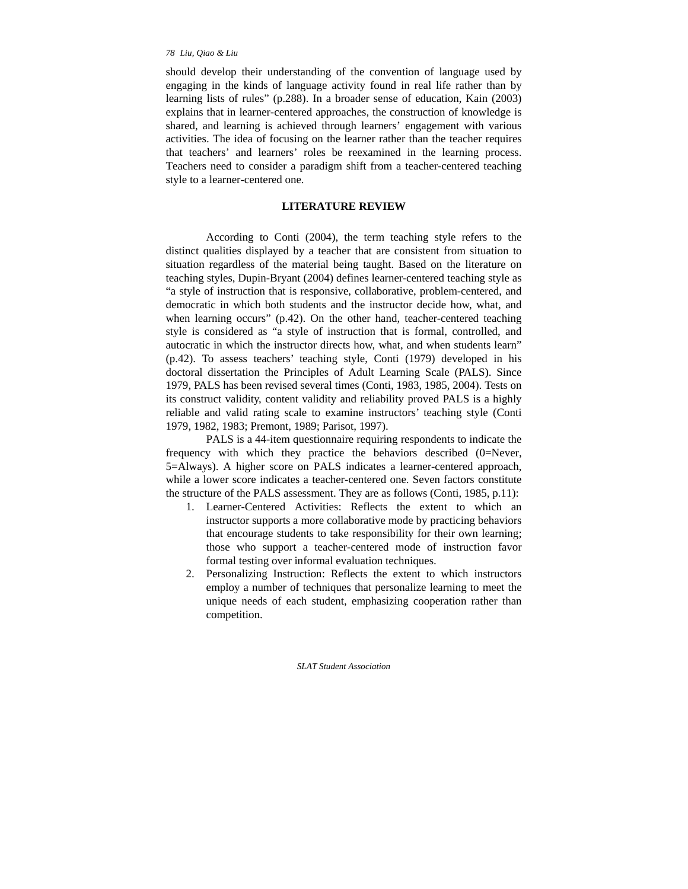should develop their understanding of the convention of language used by engaging in the kinds of language activity found in real life rather than by learning lists of rules" (p.288). In a broader sense of education, Kain (2003) explains that in learner-centered approaches, the construction of knowledge is shared, and learning is achieved through learners' engagement with various activities. The idea of focusing on the learner rather than the teacher requires that teachers' and learners' roles be reexamined in the learning process. Teachers need to consider a paradigm shift from a teacher-centered teaching style to a learner-centered one.

## **LITERATURE REVIEW**

According to Conti (2004), the term teaching style refers to the distinct qualities displayed by a teacher that are consistent from situation to situation regardless of the material being taught. Based on the literature on teaching styles, Dupin-Bryant (2004) defines learner-centered teaching style as "a style of instruction that is responsive, collaborative, problem-centered, and democratic in which both students and the instructor decide how, what, and when learning occurs" (p.42). On the other hand, teacher-centered teaching style is considered as "a style of instruction that is formal, controlled, and autocratic in which the instructor directs how, what, and when students learn" (p.42). To assess teachers' teaching style, Conti (1979) developed in his doctoral dissertation the Principles of Adult Learning Scale (PALS). Since 1979, PALS has been revised several times (Conti, 1983, 1985, 2004). Tests on its construct validity, content validity and reliability proved PALS is a highly reliable and valid rating scale to examine instructors' teaching style (Conti 1979, 1982, 1983; Premont, 1989; Parisot, 1997).

PALS is a 44-item questionnaire requiring respondents to indicate the frequency with which they practice the behaviors described (0=Never, 5=Always). A higher score on PALS indicates a learner-centered approach, while a lower score indicates a teacher-centered one. Seven factors constitute the structure of the PALS assessment. They are as follows (Conti, 1985, p.11):

- 1. Learner-Centered Activities: Reflects the extent to which an instructor supports a more collaborative mode by practicing behaviors that encourage students to take responsibility for their own learning; those who support a teacher-centered mode of instruction favor formal testing over informal evaluation techniques.
- 2. Personalizing Instruction: Reflects the extent to which instructors employ a number of techniques that personalize learning to meet the unique needs of each student, emphasizing cooperation rather than competition.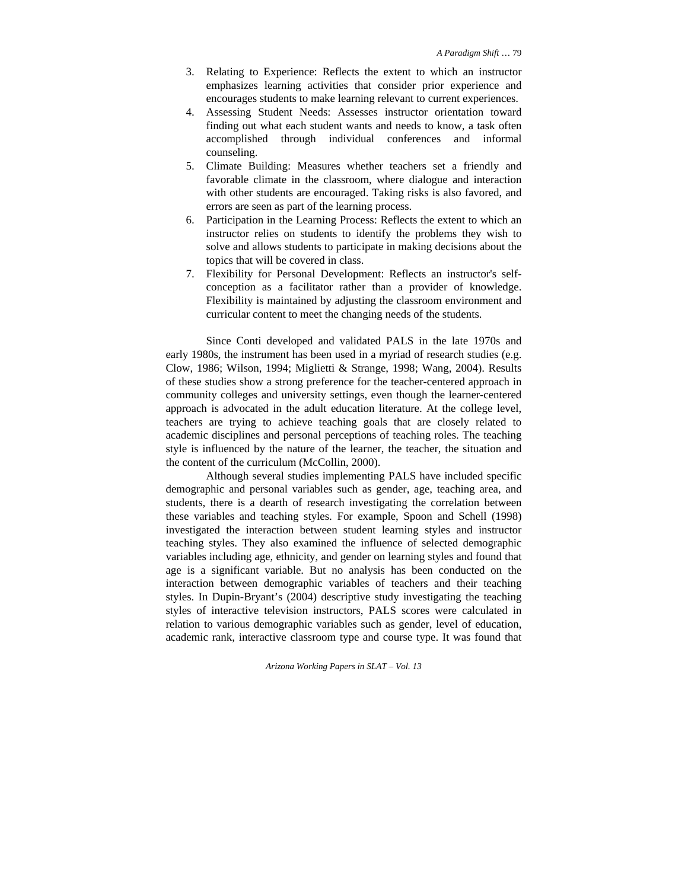- 3. Relating to Experience: Reflects the extent to which an instructor emphasizes learning activities that consider prior experience and encourages students to make learning relevant to current experiences.
- 4. Assessing Student Needs: Assesses instructor orientation toward finding out what each student wants and needs to know, a task often accomplished through individual conferences and informal counseling.
- 5. Climate Building: Measures whether teachers set a friendly and favorable climate in the classroom, where dialogue and interaction with other students are encouraged. Taking risks is also favored, and errors are seen as part of the learning process.
- 6. Participation in the Learning Process: Reflects the extent to which an instructor relies on students to identify the problems they wish to solve and allows students to participate in making decisions about the topics that will be covered in class.
- 7. Flexibility for Personal Development: Reflects an instructor's selfconception as a facilitator rather than a provider of knowledge. Flexibility is maintained by adjusting the classroom environment and curricular content to meet the changing needs of the students.

Since Conti developed and validated PALS in the late 1970s and early 1980s, the instrument has been used in a myriad of research studies (e.g. Clow, 1986; Wilson, 1994; Miglietti & Strange, 1998; Wang, 2004). Results of these studies show a strong preference for the teacher-centered approach in community colleges and university settings, even though the learner-centered approach is advocated in the adult education literature. At the college level, teachers are trying to achieve teaching goals that are closely related to academic disciplines and personal perceptions of teaching roles. The teaching style is influenced by the nature of the learner, the teacher, the situation and the content of the curriculum (McCollin, 2000).

Although several studies implementing PALS have included specific demographic and personal variables such as gender, age, teaching area, and students, there is a dearth of research investigating the correlation between these variables and teaching styles. For example, Spoon and Schell (1998) investigated the interaction between student learning styles and instructor teaching styles. They also examined the influence of selected demographic variables including age, ethnicity, and gender on learning styles and found that age is a significant variable. But no analysis has been conducted on the interaction between demographic variables of teachers and their teaching styles. In Dupin-Bryant's (2004) descriptive study investigating the teaching styles of interactive television instructors, PALS scores were calculated in relation to various demographic variables such as gender, level of education, academic rank, interactive classroom type and course type. It was found that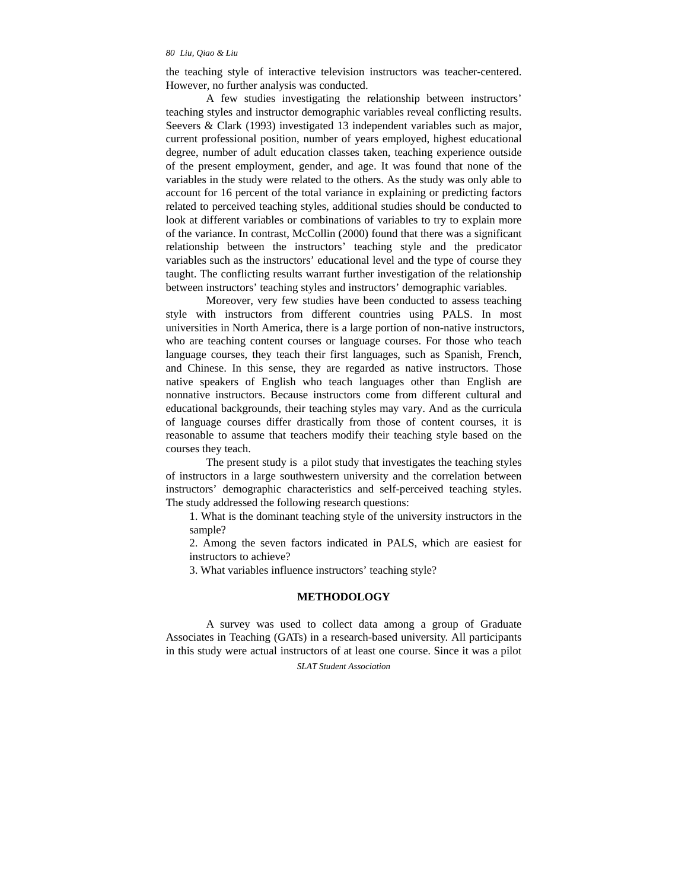the teaching style of interactive television instructors was teacher-centered. However, no further analysis was conducted.

A few studies investigating the relationship between instructors' teaching styles and instructor demographic variables reveal conflicting results. Seevers & Clark (1993) investigated 13 independent variables such as major, current professional position, number of years employed, highest educational degree, number of adult education classes taken, teaching experience outside of the present employment, gender, and age. It was found that none of the variables in the study were related to the others. As the study was only able to account for 16 percent of the total variance in explaining or predicting factors related to perceived teaching styles, additional studies should be conducted to look at different variables or combinations of variables to try to explain more of the variance. In contrast, McCollin (2000) found that there was a significant relationship between the instructors' teaching style and the predicator variables such as the instructors' educational level and the type of course they taught. The conflicting results warrant further investigation of the relationship between instructors' teaching styles and instructors' demographic variables.

Moreover, very few studies have been conducted to assess teaching style with instructors from different countries using PALS. In most universities in North America, there is a large portion of non-native instructors, who are teaching content courses or language courses. For those who teach language courses, they teach their first languages, such as Spanish, French, and Chinese. In this sense, they are regarded as native instructors. Those native speakers of English who teach languages other than English are nonnative instructors. Because instructors come from different cultural and educational backgrounds, their teaching styles may vary. And as the curricula of language courses differ drastically from those of content courses, it is reasonable to assume that teachers modify their teaching style based on the courses they teach.

The present study is a pilot study that investigates the teaching styles of instructors in a large southwestern university and the correlation between instructors' demographic characteristics and self-perceived teaching styles. The study addressed the following research questions:

1. What is the dominant teaching style of the university instructors in the sample?

2. Among the seven factors indicated in PALS, which are easiest for instructors to achieve?

3. What variables influence instructors' teaching style?

#### **METHODOLOGY**

A survey was used to collect data among a group of Graduate Associates in Teaching (GATs) in a research-based university. All participants in this study were actual instructors of at least one course. Since it was a pilot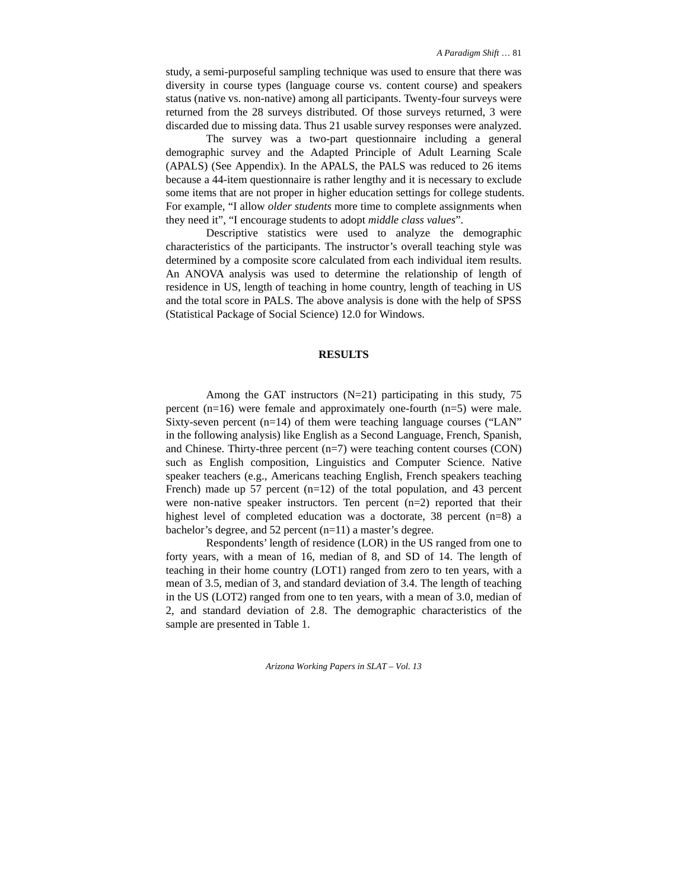study, a semi-purposeful sampling technique was used to ensure that there was diversity in course types (language course vs. content course) and speakers status (native vs. non-native) among all participants. Twenty-four surveys were returned from the 28 surveys distributed. Of those surveys returned, 3 were discarded due to missing data. Thus 21 usable survey responses were analyzed.

The survey was a two-part questionnaire including a general demographic survey and the Adapted Principle of Adult Learning Scale (APALS) (See Appendix). In the APALS, the PALS was reduced to 26 items because a 44-item questionnaire is rather lengthy and it is necessary to exclude some items that are not proper in higher education settings for college students. For example, "I allow *older students* more time to complete assignments when they need it", "I encourage students to adopt *middle class values*".

Descriptive statistics were used to analyze the demographic characteristics of the participants. The instructor's overall teaching style was determined by a composite score calculated from each individual item results. An ANOVA analysis was used to determine the relationship of length of residence in US, length of teaching in home country, length of teaching in US and the total score in PALS. The above analysis is done with the help of SPSS (Statistical Package of Social Science) 12.0 for Windows.

## **RESULTS**

Among the GAT instructors  $(N=21)$  participating in this study, 75 percent (n=16) were female and approximately one-fourth (n=5) were male. Sixty-seven percent (n=14) of them were teaching language courses ("LAN" in the following analysis) like English as a Second Language, French, Spanish, and Chinese. Thirty-three percent (n=7) were teaching content courses (CON) such as English composition, Linguistics and Computer Science. Native speaker teachers (e.g., Americans teaching English, French speakers teaching French) made up 57 percent (n=12) of the total population, and 43 percent were non-native speaker instructors. Ten percent (n=2) reported that their highest level of completed education was a doctorate, 38 percent (n=8) a bachelor's degree, and 52 percent (n=11) a master's degree.

Respondents' length of residence (LOR) in the US ranged from one to forty years, with a mean of 16, median of 8, and SD of 14. The length of teaching in their home country (LOT1) ranged from zero to ten years, with a mean of 3.5, median of 3, and standard deviation of 3.4. The length of teaching in the US (LOT2) ranged from one to ten years, with a mean of 3.0, median of 2, and standard deviation of 2.8. The demographic characteristics of the sample are presented in Table 1.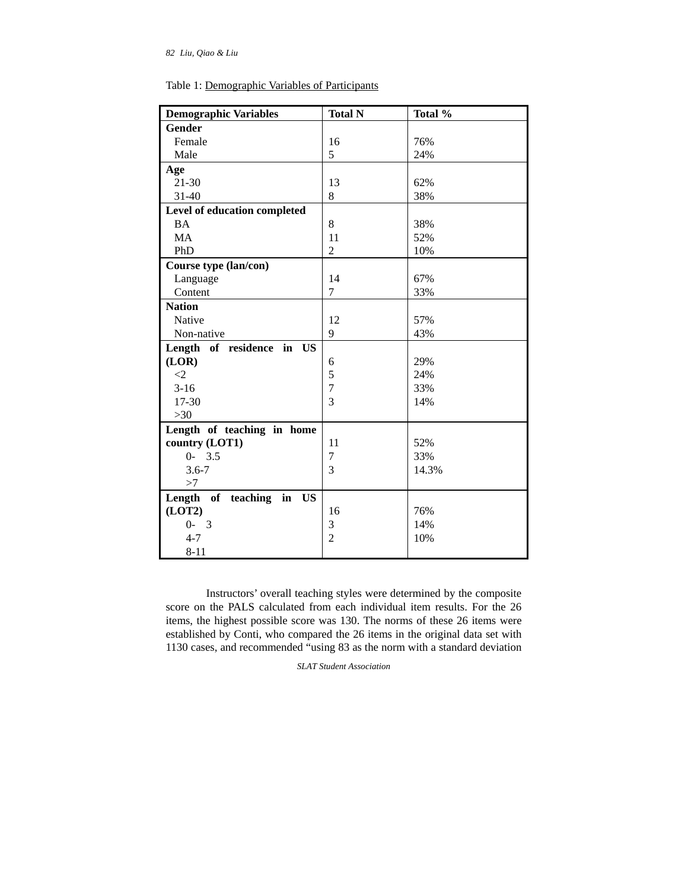| <b>Demographic Variables</b>             | <b>Total N</b> | Total % |
|------------------------------------------|----------------|---------|
| <b>Gender</b>                            |                |         |
| Female                                   | 16             | 76%     |
| Male                                     | 5              | 24%     |
| Age                                      |                |         |
| $21-30$                                  | 13             | 62%     |
| $31 - 40$                                | 8              | 38%     |
| Level of education completed             |                |         |
| <b>BA</b>                                | 8              | 38%     |
| MA                                       | 11             | 52%     |
| PhD                                      | $\overline{2}$ | 10%     |
| Course type (lan/con)                    |                |         |
| Language                                 | 14             | 67%     |
| Content                                  | 7              | 33%     |
| <b>Nation</b>                            |                |         |
| Native                                   | 12             | 57%     |
| Non-native                               | 9              | 43%     |
| Length of residence in US                |                |         |
| (LOR)                                    | 6              | 29%     |
| $\langle 2 \rangle$                      | 5              | 24%     |
| $3-16$                                   | $\overline{7}$ | 33%     |
| 17-30                                    | 3              | 14%     |
| $>30$                                    |                |         |
| Length of teaching in home               |                |         |
| country (LOT1)                           | 11             | 52%     |
| $0 - 3.5$                                | 7              | 33%     |
| $3.6 - 7$                                | 3              | 14.3%   |
| >7                                       |                |         |
| Length<br>of teaching<br>in<br><b>US</b> |                |         |
| (LOT2)                                   | 16             | 76%     |
| $0 - 3$                                  | 3              | 14%     |
| $4 - 7$                                  | $\overline{2}$ | 10%     |
| $8 - 11$                                 |                |         |

Table 1: Demographic Variables of Participants

Instructors' overall teaching styles were determined by the composite score on the PALS calculated from each individual item results. For the 26 items, the highest possible score was 130. The norms of these 26 items were established by Conti, who compared the 26 items in the original data set with 1130 cases, and recommended "using 83 as the norm with a standard deviation

*SLAT Student Association*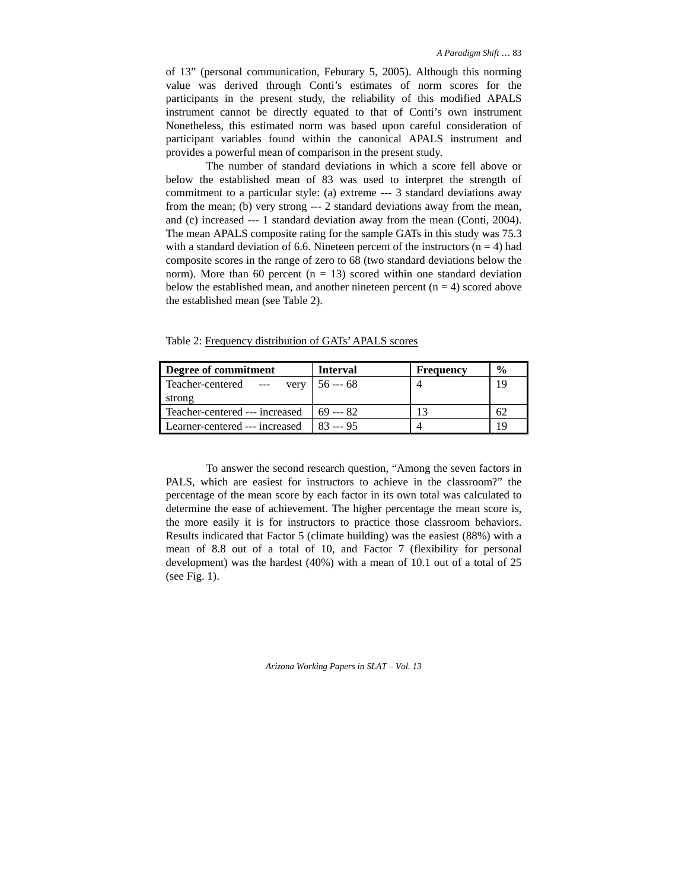of 13" (personal communication, Feburary 5, 2005). Although this norming value was derived through Conti's estimates of norm scores for the participants in the present study, the reliability of this modified APALS instrument cannot be directly equated to that of Conti's own instrument Nonetheless, this estimated norm was based upon careful consideration of participant variables found within the canonical APALS instrument and provides a powerful mean of comparison in the present study.

The number of standard deviations in which a score fell above or below the established mean of 83 was used to interpret the strength of commitment to a particular style: (a) extreme --- 3 standard deviations away from the mean; (b) very strong --- 2 standard deviations away from the mean, and (c) increased --- 1 standard deviation away from the mean (Conti, 2004). The mean APALS composite rating for the sample GATs in this study was 75.3 with a standard deviation of 6.6. Nineteen percent of the instructors  $(n = 4)$  had composite scores in the range of zero to 68 (two standard deviations below the norm). More than 60 percent ( $n = 13$ ) scored within one standard deviation below the established mean, and another nineteen percent  $(n = 4)$  scored above the established mean (see Table 2).

| Degree of commitment                                   | <b>Interval</b> | <b>Frequency</b> | $\frac{0}{0}$ |
|--------------------------------------------------------|-----------------|------------------|---------------|
| Teacher-centered --- very $\vert 56 \cdots 68 \rangle$ |                 |                  | 19            |
| strong                                                 |                 |                  |               |
| Teacher-centered --- increased                         | $169 - 82$      |                  |               |
| Learner-centered --- increased                         | $83 -- 95$      |                  | 19            |

Table 2: Frequency distribution of GATs' APALS scores

To answer the second research question, "Among the seven factors in PALS, which are easiest for instructors to achieve in the classroom?" the percentage of the mean score by each factor in its own total was calculated to determine the ease of achievement. The higher percentage the mean score is, the more easily it is for instructors to practice those classroom behaviors. Results indicated that Factor 5 (climate building) was the easiest (88%) with a mean of 8.8 out of a total of 10, and Factor 7 (flexibility for personal development) was the hardest (40%) with a mean of 10.1 out of a total of 25 (see Fig. 1).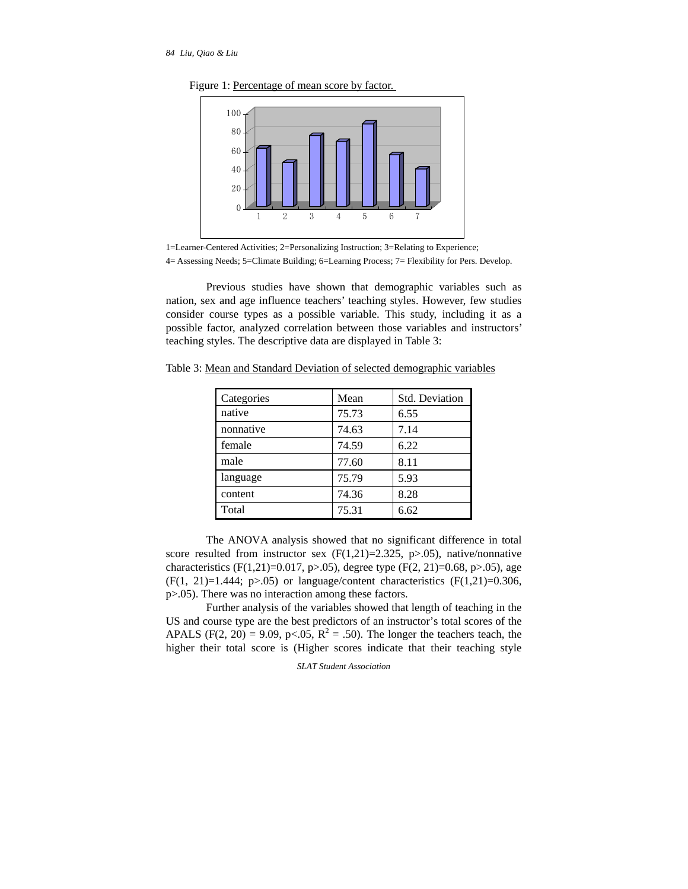

Figure 1: Percentage of mean score by factor.

Previous studies have shown that demographic variables such as nation, sex and age influence teachers' teaching styles. However, few studies consider course types as a possible variable. This study, including it as a possible factor, analyzed correlation between those variables and instructors' teaching styles. The descriptive data are displayed in Table 3:

| Categories | Mean  | <b>Std. Deviation</b> |
|------------|-------|-----------------------|
| native     | 75.73 | 6.55                  |
| nonnative  | 74.63 | 7.14                  |
| female     | 74.59 | 6.22                  |
| male       | 77.60 | 8.11                  |
| language   | 75.79 | 5.93                  |
| content    | 74.36 | 8.28                  |
| Total      | 75.31 | 6.62                  |

Table 3: Mean and Standard Deviation of selected demographic variables

The ANOVA analysis showed that no significant difference in total score resulted from instructor sex  $(F(1,21)=2.325, p>0.05)$ , native/nonnative characteristics (F(1,21)=0.017, p>.05), degree type (F(2, 21)=0.68, p>.05), age  $(F(1, 21)=1.444; p>0.05)$  or language/content characteristics  $(F(1,21)=0.306,$ p>.05). There was no interaction among these factors.

Further analysis of the variables showed that length of teaching in the US and course type are the best predictors of an instructor's total scores of the APALS (F(2, 20) = 9.09, p<.05,  $R^2 = .50$ ). The longer the teachers teach, the higher their total score is (Higher scores indicate that their teaching style

<sup>1=</sup>Learner-Centered Activities; 2=Personalizing Instruction; 3=Relating to Experience; 4= Assessing Needs; 5=Climate Building; 6=Learning Process; 7= Flexibility for Pers. Develop.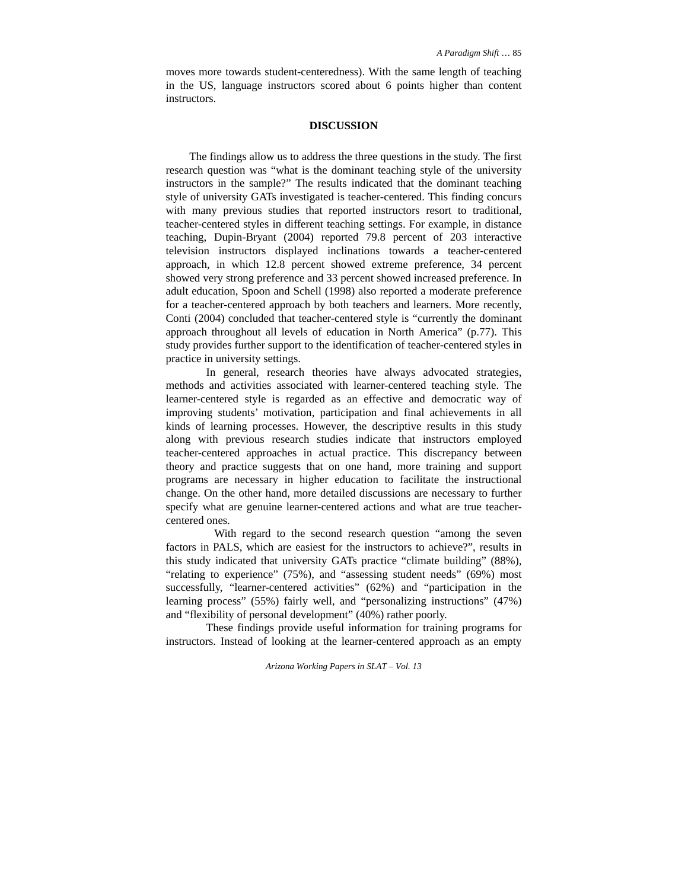moves more towards student-centeredness). With the same length of teaching in the US, language instructors scored about 6 points higher than content instructors.

# **DISCUSSION**

The findings allow us to address the three questions in the study. The first research question was "what is the dominant teaching style of the university instructors in the sample?" The results indicated that the dominant teaching style of university GATs investigated is teacher-centered. This finding concurs with many previous studies that reported instructors resort to traditional, teacher-centered styles in different teaching settings. For example, in distance teaching, Dupin-Bryant (2004) reported 79.8 percent of 203 interactive television instructors displayed inclinations towards a teacher-centered approach, in which 12.8 percent showed extreme preference, 34 percent showed very strong preference and 33 percent showed increased preference. In adult education, Spoon and Schell (1998) also reported a moderate preference for a teacher-centered approach by both teachers and learners. More recently, Conti (2004) concluded that teacher-centered style is "currently the dominant approach throughout all levels of education in North America" (p.77). This study provides further support to the identification of teacher-centered styles in practice in university settings.

In general, research theories have always advocated strategies, methods and activities associated with learner-centered teaching style. The learner-centered style is regarded as an effective and democratic way of improving students' motivation, participation and final achievements in all kinds of learning processes. However, the descriptive results in this study along with previous research studies indicate that instructors employed teacher-centered approaches in actual practice. This discrepancy between theory and practice suggests that on one hand, more training and support programs are necessary in higher education to facilitate the instructional change. On the other hand, more detailed discussions are necessary to further specify what are genuine learner-centered actions and what are true teachercentered ones.

 With regard to the second research question "among the seven factors in PALS, which are easiest for the instructors to achieve?", results in this study indicated that university GATs practice "climate building" (88%), "relating to experience" (75%), and "assessing student needs" (69%) most successfully, "learner-centered activities" (62%) and "participation in the learning process" (55%) fairly well, and "personalizing instructions" (47%) and "flexibility of personal development" (40%) rather poorly.

These findings provide useful information for training programs for instructors. Instead of looking at the learner-centered approach as an empty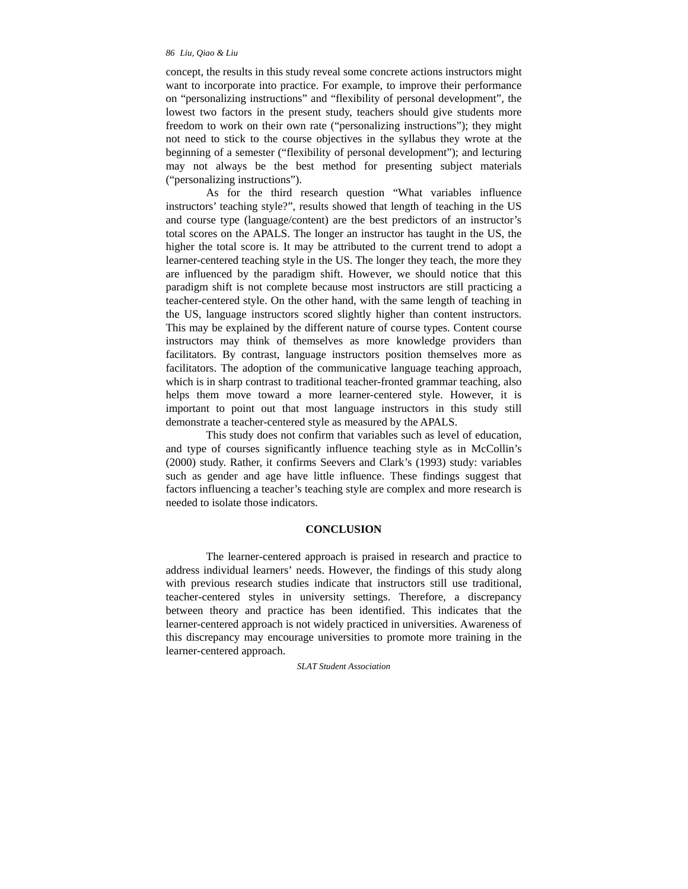concept, the results in this study reveal some concrete actions instructors might want to incorporate into practice. For example, to improve their performance on "personalizing instructions" and "flexibility of personal development", the lowest two factors in the present study, teachers should give students more freedom to work on their own rate ("personalizing instructions"); they might not need to stick to the course objectives in the syllabus they wrote at the beginning of a semester ("flexibility of personal development"); and lecturing may not always be the best method for presenting subject materials ("personalizing instructions").

As for the third research question "What variables influence instructors' teaching style?", results showed that length of teaching in the US and course type (language/content) are the best predictors of an instructor's total scores on the APALS. The longer an instructor has taught in the US, the higher the total score is. It may be attributed to the current trend to adopt a learner-centered teaching style in the US. The longer they teach, the more they are influenced by the paradigm shift. However, we should notice that this paradigm shift is not complete because most instructors are still practicing a teacher-centered style. On the other hand, with the same length of teaching in the US, language instructors scored slightly higher than content instructors. This may be explained by the different nature of course types. Content course instructors may think of themselves as more knowledge providers than facilitators. By contrast, language instructors position themselves more as facilitators. The adoption of the communicative language teaching approach, which is in sharp contrast to traditional teacher-fronted grammar teaching, also helps them move toward a more learner-centered style. However, it is important to point out that most language instructors in this study still demonstrate a teacher-centered style as measured by the APALS.

This study does not confirm that variables such as level of education, and type of courses significantly influence teaching style as in McCollin's (2000) study. Rather, it confirms Seevers and Clark's (1993) study: variables such as gender and age have little influence. These findings suggest that factors influencing a teacher's teaching style are complex and more research is needed to isolate those indicators.

#### **CONCLUSION**

The learner-centered approach is praised in research and practice to address individual learners' needs. However, the findings of this study along with previous research studies indicate that instructors still use traditional, teacher-centered styles in university settings. Therefore, a discrepancy between theory and practice has been identified. This indicates that the learner-centered approach is not widely practiced in universities. Awareness of this discrepancy may encourage universities to promote more training in the learner-centered approach.

#### *SLAT Student Association*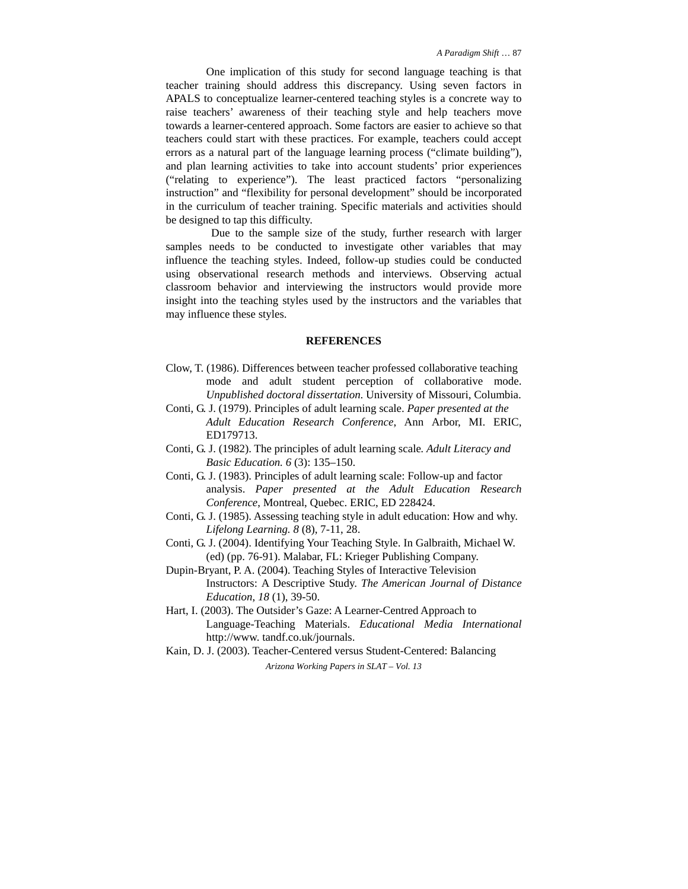One implication of this study for second language teaching is that teacher training should address this discrepancy. Using seven factors in APALS to conceptualize learner-centered teaching styles is a concrete way to raise teachers' awareness of their teaching style and help teachers move towards a learner-centered approach. Some factors are easier to achieve so that teachers could start with these practices. For example, teachers could accept errors as a natural part of the language learning process ("climate building"), and plan learning activities to take into account students' prior experiences ("relating to experience"). The least practiced factors "personalizing instruction" and "flexibility for personal development" should be incorporated in the curriculum of teacher training. Specific materials and activities should be designed to tap this difficulty.

 Due to the sample size of the study, further research with larger samples needs to be conducted to investigate other variables that may influence the teaching styles. Indeed, follow-up studies could be conducted using observational research methods and interviews. Observing actual classroom behavior and interviewing the instructors would provide more insight into the teaching styles used by the instructors and the variables that may influence these styles.

#### **REFERENCES**

- Clow, T. (1986). Differences between teacher professed collaborative teaching mode and adult student perception of collaborative mode. *Unpublished doctoral dissertation*. University of Missouri, Columbia.
- Conti, G. J. (1979). Principles of adult learning scale. *Paper presented at the Adult Education Research Conference*, Ann Arbor, MI. ERIC, ED179713.
- Conti, G. J. (1982). The principles of adult learning scale*. Adult Literacy and Basic Education. 6* (3): 135–150.
- Conti, G. J. (1983). Principles of adult learning scale: Follow-up and factor analysis. *Paper presented at the Adult Education Research Conference*, Montreal, Quebec. ERIC, ED 228424.
- Conti, G. J. (1985). Assessing teaching style in adult education: How and why. *Lifelong Learning. 8* (8), 7-11, 28.
- Conti, G. J. (2004). Identifying Your Teaching Style. In Galbraith, Michael W. (ed) (pp. 76-91). Malabar, FL: Krieger Publishing Company.
- Dupin-Bryant, P. A. (2004). Teaching Styles of Interactive Television Instructors: A Descriptive Study. *The American Journal of Distance Education*, *18* (1), 39-50.
- Hart, I. (2003). The Outsider's Gaze: A Learner-Centred Approach to Language-Teaching Materials. *Educational Media International* http://www. tandf.co.uk/journals.
- *Arizona Working Papers in SLAT Vol. 13*  Kain, D. J. (2003). Teacher-Centered versus Student-Centered: Balancing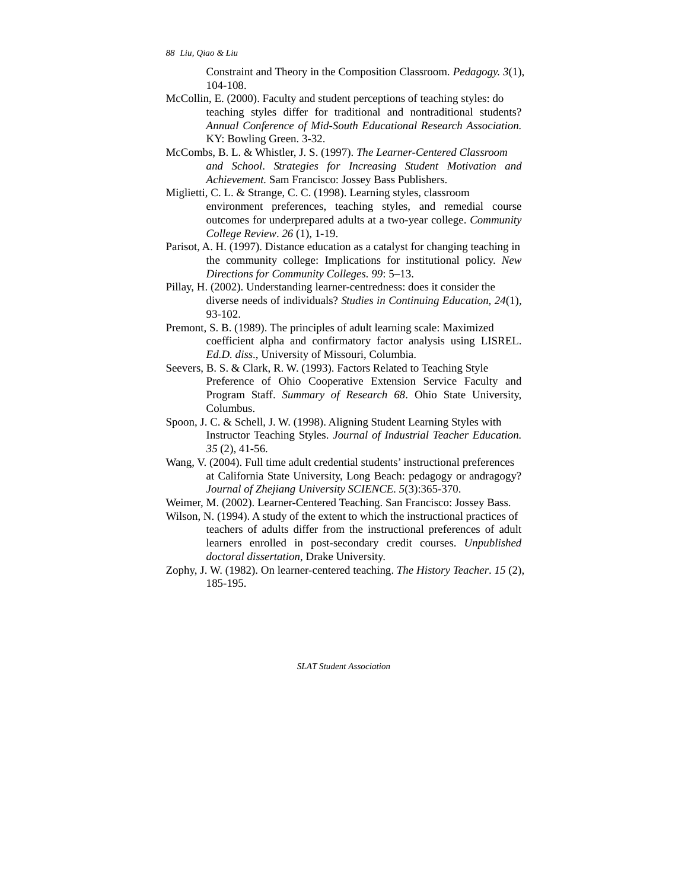Constraint and Theory in the Composition Classroom. *Pedagogy. 3*(1), 104-108.

- McCollin, E. (2000). Faculty and student perceptions of teaching styles: do teaching styles differ for traditional and nontraditional students? *Annual Conference of Mid-South Educational Research Association.* KY: Bowling Green. 3-32.
- McCombs, B. L. & Whistler, J. S. (1997). *The Learner-Centered Classroom and School*. *Strategies for Increasing Student Motivation and Achievement.* Sam Francisco: Jossey Bass Publishers.
- Miglietti, C. L. & Strange, C. C. (1998). Learning styles, classroom environment preferences, teaching styles, and remedial course outcomes for underprepared adults at a two-year college. *Community College Review*. *26* (1), 1-19.
- Parisot, A. H. (1997). Distance education as a catalyst for changing teaching in the community college: Implications for institutional policy. *New Directions for Community Colleges. 99*: 5–13.
- Pillay, H. (2002). Understanding learner-centredness: does it consider the diverse needs of individuals? *Studies in Continuing Education, 24*(1), 93-102.
- Premont, S. B. (1989). The principles of adult learning scale: Maximized coefficient alpha and confirmatory factor analysis using LISREL. *Ed.D. diss*., University of Missouri, Columbia.
- Seevers, B. S. & Clark, R. W. (1993). Factors Related to Teaching Style Preference of Ohio Cooperative Extension Service Faculty and Program Staff. *Summary of Research 68*. Ohio State University, Columbus.
- Spoon, J. C. & Schell, J. W. (1998). Aligning Student Learning Styles with Instructor Teaching Styles. *Journal of Industrial Teacher Education. 35* (2), 41-56.
- Wang, V. (2004). Full time adult credential students' instructional preferences at California State University, Long Beach: pedagogy or andragogy? *Journal of Zhejiang University SCIENCE. 5*(3):365-370.
- Weimer, M. (2002). Learner-Centered Teaching. San Francisco: Jossey Bass.
- Wilson, N. (1994). A study of the extent to which the instructional practices of teachers of adults differ from the instructional preferences of adult learners enrolled in post-secondary credit courses. *Unpublished doctoral dissertation*, Drake University.
- Zophy, J. W. (1982). On learner-centered teaching. *The History Teacher*. *15* (2), 185-195.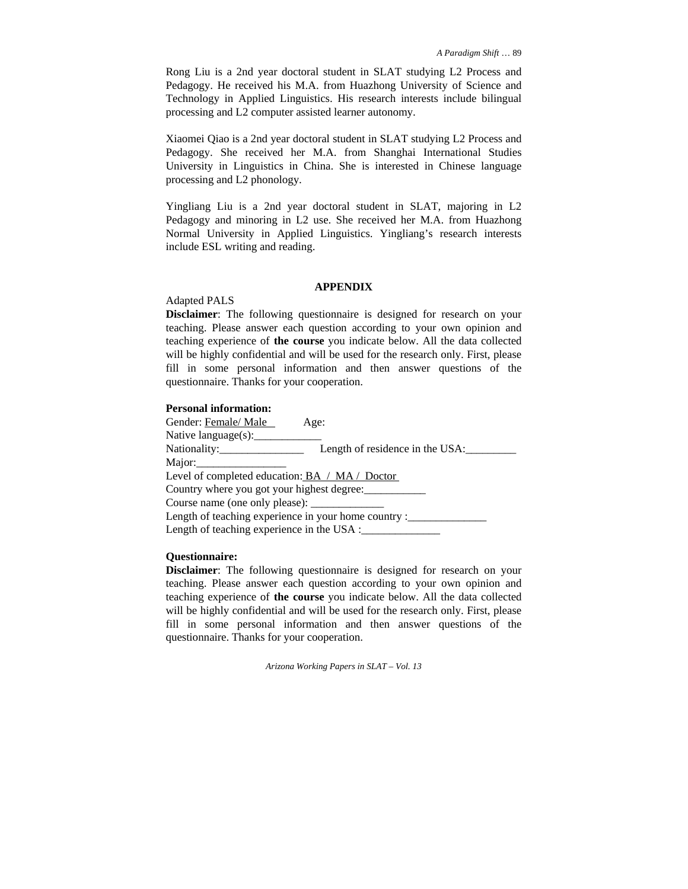Rong Liu is a 2nd year doctoral student in SLAT studying L2 Process and Pedagogy. He received his M.A. from Huazhong University of Science and Technology in Applied Linguistics. His research interests include bilingual processing and L2 computer assisted learner autonomy.

Xiaomei Qiao is a 2nd year doctoral student in SLAT studying L2 Process and Pedagogy. She received her M.A. from Shanghai International Studies University in Linguistics in China. She is interested in Chinese language processing and L2 phonology.

Yingliang Liu is a 2nd year doctoral student in SLAT, majoring in L2 Pedagogy and minoring in L2 use. She received her M.A. from Huazhong Normal University in Applied Linguistics. Yingliang's research interests include ESL writing and reading.

## **APPENDIX**

## Adapted PALS

**Disclaimer**: The following questionnaire is designed for research on your teaching. Please answer each question according to your own opinion and teaching experience of **the course** you indicate below. All the data collected will be highly confidential and will be used for the research only. First, please fill in some personal information and then answer questions of the questionnaire. Thanks for your cooperation.

#### **Personal information:**

| Gender: Female/ Male                           | Age:                                                      |
|------------------------------------------------|-----------------------------------------------------------|
| Native language $(s)$ :                        |                                                           |
|                                                | Length of residence in the USA:                           |
| Major:                                         |                                                           |
| Level of completed education: BA / MA / Doctor |                                                           |
| Country where you got your highest degree:     |                                                           |
|                                                |                                                           |
|                                                | Length of teaching experience in your home country :_____ |
| Length of teaching experience in the USA :     |                                                           |

## **Questionnaire:**

**Disclaimer**: The following questionnaire is designed for research on your teaching. Please answer each question according to your own opinion and teaching experience of **the course** you indicate below. All the data collected will be highly confidential and will be used for the research only. First, please fill in some personal information and then answer questions of the questionnaire. Thanks for your cooperation.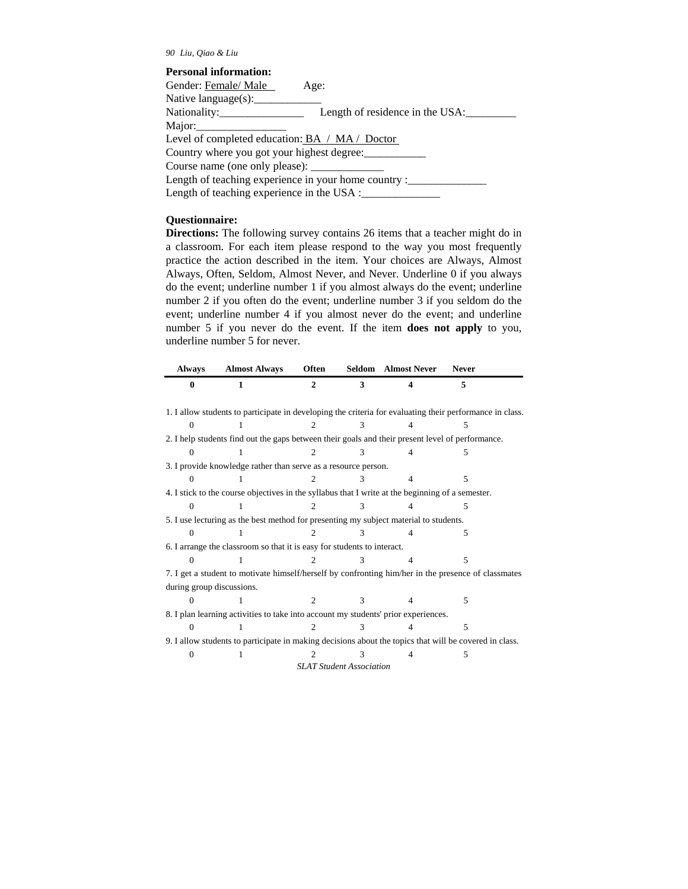#### *90 Liu, Qiao & Liu*

#### **Personal information:**

| Gender: Female/ Male                           | Age:                                                 |
|------------------------------------------------|------------------------------------------------------|
| Native language $(s)$ :                        |                                                      |
|                                                | Length of residence in the USA:                      |
| Major: $\sqrt{\frac{2}{1-\frac{1}{2}}$         |                                                      |
| Level of completed education: BA / MA / Doctor |                                                      |
| Country where you got your highest degree:     |                                                      |
| Course name (one only please): _____________   |                                                      |
|                                                | Length of teaching experience in your home country : |
| Length of teaching experience in the USA :     |                                                      |
|                                                |                                                      |

#### **Questionnaire:**

**Directions:** The following survey contains 26 items that a teacher might do in a classroom. For each item please respond to the way you most frequently practice the action described in the item. Your choices are Always, Almost Always, Often, Seldom, Almost Never, and Never. Underline 0 if you always do the event; underline number 1 if you almost always do the event; underline number 2 if you often do the event; underline number 3 if you seldom do the event; underline number 4 if you almost never do the event; and underline number 5 if you never do the event. If the item **does not apply** to you, underline number 5 for never.

| <b>Always</b>                                                                                          | <b>Almost Always</b>                                                                                     | Often                  |   | Seldom Almost Never | <b>Never</b> |  |
|--------------------------------------------------------------------------------------------------------|----------------------------------------------------------------------------------------------------------|------------------------|---|---------------------|--------------|--|
| $\mathbf{0}$                                                                                           | 1                                                                                                        | $\mathcal{D}_{\alpha}$ | 3 | 4                   | 5            |  |
|                                                                                                        | 1. I allow students to participate in developing the criteria for evaluating their performance in class. |                        |   |                     |              |  |
| 0                                                                                                      |                                                                                                          |                        |   |                     |              |  |
|                                                                                                        | 2. I help students find out the gaps between their goals and their present level of performance.         |                        |   |                     |              |  |
|                                                                                                        |                                                                                                          |                        |   |                     | 5            |  |
| 3. I provide knowledge rather than serve as a resource person.                                         |                                                                                                          |                        |   |                     |              |  |
|                                                                                                        |                                                                                                          |                        |   |                     | 5            |  |
| 4. I stick to the course objectives in the syllabus that I write at the beginning of a semester.       |                                                                                                          |                        |   |                     |              |  |
| 0                                                                                                      |                                                                                                          |                        |   |                     | 5            |  |
|                                                                                                        | 5. I use lecturing as the best method for presenting my subject material to students.                    |                        |   |                     |              |  |
|                                                                                                        |                                                                                                          |                        |   |                     | 5            |  |
| 6. I arrange the classroom so that it is easy for students to interact.                                |                                                                                                          |                        |   |                     |              |  |
|                                                                                                        |                                                                                                          |                        |   |                     | 5            |  |
| 7. I get a student to motivate himself/herself by confronting him/her in the presence of classmates    |                                                                                                          |                        |   |                     |              |  |
| during group discussions.                                                                              |                                                                                                          |                        |   |                     |              |  |
|                                                                                                        |                                                                                                          |                        |   |                     | 5            |  |
|                                                                                                        | 8. I plan learning activities to take into account my students' prior experiences.                       |                        |   |                     |              |  |
| Ω                                                                                                      |                                                                                                          |                        |   |                     | 5            |  |
| 9. I allow students to participate in making decisions about the topics that will be covered in class. |                                                                                                          |                        |   |                     |              |  |
|                                                                                                        |                                                                                                          |                        |   |                     | 5            |  |
| <b>SLAT Student Association</b>                                                                        |                                                                                                          |                        |   |                     |              |  |